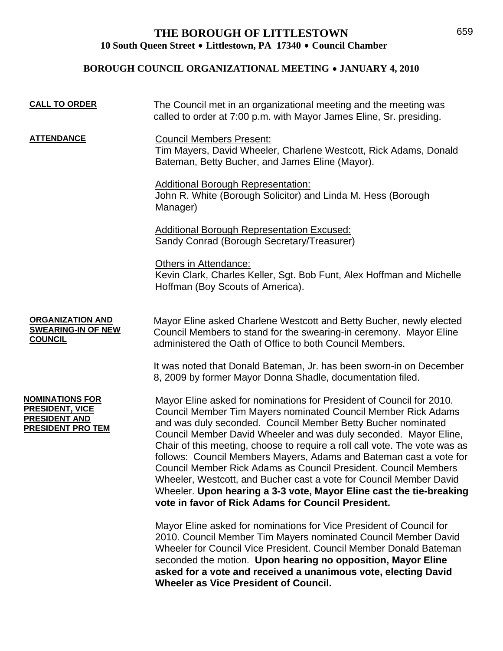## **THE BOROUGH OF LITTLESTOWN**  10 South Queen Street • Littlestown, PA 17340 • Council Chamber

## **BOROUGH COUNCIL ORGANIZATIONAL MEETING • JANUARY 4, 2010**

| <b>CALL TO ORDER</b>                                                                                 | The Council met in an organizational meeting and the meeting was<br>called to order at 7:00 p.m. with Mayor James Eline, Sr. presiding.                                                                                                                                                                                                                                                                                                                                                                                                                                                                                                                                                             |
|------------------------------------------------------------------------------------------------------|-----------------------------------------------------------------------------------------------------------------------------------------------------------------------------------------------------------------------------------------------------------------------------------------------------------------------------------------------------------------------------------------------------------------------------------------------------------------------------------------------------------------------------------------------------------------------------------------------------------------------------------------------------------------------------------------------------|
| <b>ATTENDANCE</b>                                                                                    | <b>Council Members Present:</b><br>Tim Mayers, David Wheeler, Charlene Westcott, Rick Adams, Donald<br>Bateman, Betty Bucher, and James Eline (Mayor).                                                                                                                                                                                                                                                                                                                                                                                                                                                                                                                                              |
|                                                                                                      | <b>Additional Borough Representation:</b><br>John R. White (Borough Solicitor) and Linda M. Hess (Borough<br>Manager)                                                                                                                                                                                                                                                                                                                                                                                                                                                                                                                                                                               |
|                                                                                                      | <b>Additional Borough Representation Excused:</b><br>Sandy Conrad (Borough Secretary/Treasurer)                                                                                                                                                                                                                                                                                                                                                                                                                                                                                                                                                                                                     |
|                                                                                                      | Others in Attendance:<br>Kevin Clark, Charles Keller, Sgt. Bob Funt, Alex Hoffman and Michelle<br>Hoffman (Boy Scouts of America).                                                                                                                                                                                                                                                                                                                                                                                                                                                                                                                                                                  |
| <b>ORGANIZATION AND</b><br><b>SWEARING-IN OF NEW</b><br><b>COUNCIL</b>                               | Mayor Eline asked Charlene Westcott and Betty Bucher, newly elected<br>Council Members to stand for the swearing-in ceremony. Mayor Eline<br>administered the Oath of Office to both Council Members.                                                                                                                                                                                                                                                                                                                                                                                                                                                                                               |
|                                                                                                      | It was noted that Donald Bateman, Jr. has been sworn-in on December<br>8, 2009 by former Mayor Donna Shadle, documentation filed.                                                                                                                                                                                                                                                                                                                                                                                                                                                                                                                                                                   |
| <b>NOMINATIONS FOR</b><br><u>PRESIDENT, VICE</u><br><b>PRESIDENT AND</b><br><b>PRESIDENT PRO TEM</b> | Mayor Eline asked for nominations for President of Council for 2010.<br>Council Member Tim Mayers nominated Council Member Rick Adams<br>and was duly seconded. Council Member Betty Bucher nominated<br>Council Member David Wheeler and was duly seconded. Mayor Eline,<br>Chair of this meeting, choose to require a roll call vote. The vote was as<br>follows: Council Members Mayers, Adams and Bateman cast a vote for<br>Council Member Rick Adams as Council President. Council Members<br>Wheeler, Westcott, and Bucher cast a vote for Council Member David<br>Wheeler. Upon hearing a 3-3 vote, Mayor Eline cast the tie-breaking<br>vote in favor of Rick Adams for Council President. |
|                                                                                                      | Mayor Eline asked for nominations for Vice President of Council for<br>2010. Council Member Tim Mayers nominated Council Member David<br>Wheeler for Council Vice President. Council Member Donald Bateman                                                                                                                                                                                                                                                                                                                                                                                                                                                                                          |

seconded the motion. **Upon hearing no opposition, Mayor Eline asked for a vote and received a unanimous vote, electing David Wheeler as Vice President of Council.**